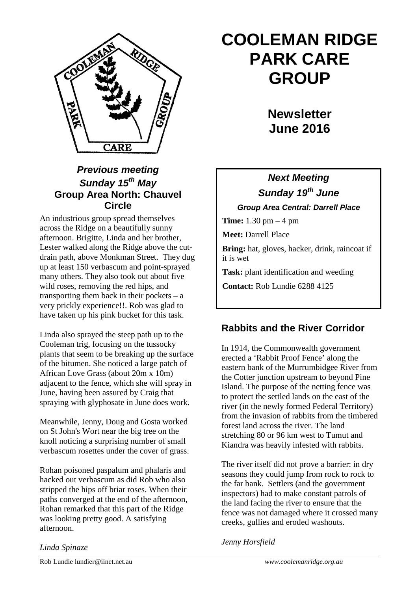

## *Previous meeting Sunday 15th May* **Group Area North: Chauvel Circle**

An industrious group spread themselves across the Ridge on a beautifully sunny afternoon. Brigitte, Linda and her brother, Lester walked along the Ridge above the cutdrain path, above Monkman Street. They dug up at least 150 verbascum and point-sprayed many others. They also took out about five wild roses, removing the red hips, and transporting them back in their pockets  $- a$ very prickly experience!!. Rob was glad to have taken up his pink bucket for this task.

Linda also sprayed the steep path up to the Cooleman trig, focusing on the tussocky plants that seem to be breaking up the surface of the bitumen. She noticed a large patch of African Love Grass (about 20m x 10m) adjacent to the fence, which she will spray in June, having been assured by Craig that spraying with glyphosate in June does work.

Meanwhile, Jenny, Doug and Gosta worked on St John's Wort near the big tree on the knoll noticing a surprising number of small verbascum rosettes under the cover of grass.

Rohan poisoned paspalum and phalaris and hacked out verbascum as did Rob who also stripped the hips off briar roses. When their paths converged at the end of the afternoon, Rohan remarked that this part of the Ridge was looking pretty good. A satisfying afternoon.

# **COOLEMAN RIDGE PARK CARE GROUP**

**Newsletter June 2016** 

# *Next Meeting Sunday 19th June*

*Group Area Central: Darrell Place*

**Time:** 1.30 pm – 4 pm

**Meet:** Darrell Place

**Bring:** hat, gloves, hacker, drink, raincoat if it is wet

**Task:** plant identification and weeding

**Contact:** Rob Lundie 6288 4125

# **Rabbits and the River Corridor**

In 1914, the Commonwealth government erected a 'Rabbit Proof Fence' along the eastern bank of the Murrumbidgee River from the Cotter junction upstream to beyond Pine Island. The purpose of the netting fence was to protect the settled lands on the east of the river (in the newly formed Federal Territory) from the invasion of rabbits from the timbered forest land across the river. The land stretching 80 or 96 km west to Tumut and Kiandra was heavily infested with rabbits.

The river itself did not prove a barrier: in dry seasons they could jump from rock to rock to the far bank. Settlers (and the government inspectors) had to make constant patrols of the land facing the river to ensure that the fence was not damaged where it crossed many creeks, gullies and eroded washouts.

*Jenny Horsfield*

*Linda Spinaze*